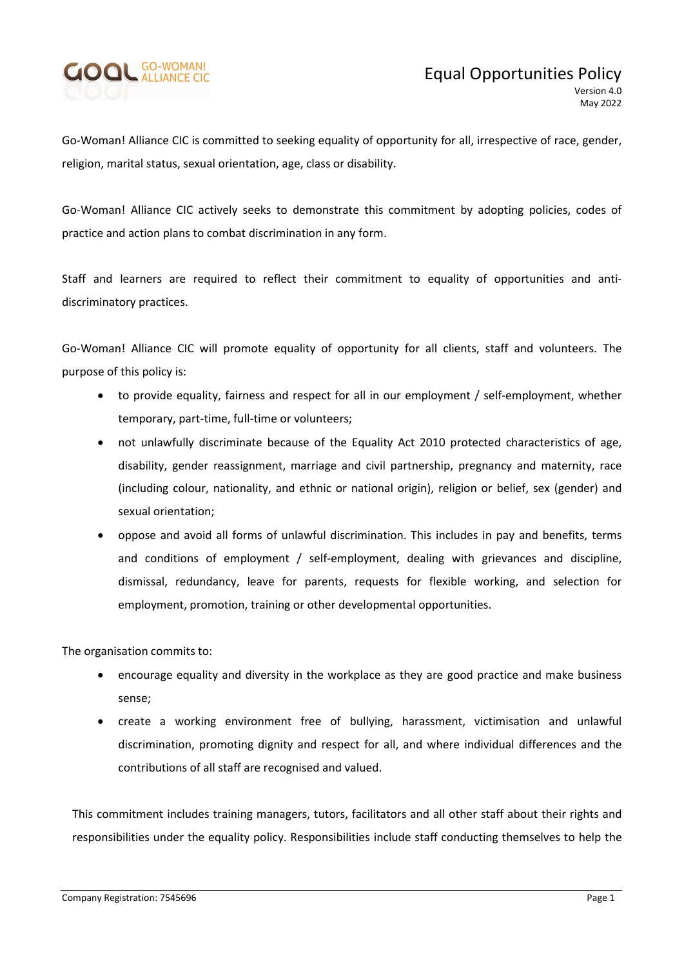

Go-Woman! Alliance CIC is committed to seeking equality of opportunity for all, irrespective of race, gender, religion, marital status, sexual orientation, age, class or disability.

Go-Woman! Alliance CIC actively seeks to demonstrate this commitment by adopting policies, codes of practice and action plans to combat discrimination in any form.

Staff and learners are required to reflect their commitment to equality of opportunities and antidiscriminatory practices.

Go-Woman! Alliance CIC will promote equality of opportunity for all clients, staff and volunteers. The purpose of this policy is:

- to provide equality, fairness and respect for all in our employment / self-employment, whether temporary, part-time, full-time or volunteers;
- not unlawfully discriminate because of the Equality Act 2010 protected characteristics of age, disability, gender reassignment, marriage and civil partnership, pregnancy and maternity, race (including colour, nationality, and ethnic or national origin), religion or belief, sex (gender) and sexual orientation;
- oppose and avoid all forms of unlawful discrimination. This includes in pay and benefits, terms and conditions of employment / self-employment, dealing with grievances and discipline, dismissal, redundancy, leave for parents, requests for flexible working, and selection for employment, promotion, training or other developmental opportunities.

The organisation commits to:

- encourage equality and diversity in the workplace as they are good practice and make business sense;
- create a working environment free of bullying, harassment, victimisation and unlawful discrimination, promoting dignity and respect for all, and where individual differences and the contributions of all staff are recognised and valued.

This commitment includes training managers, tutors, facilitators and all other staff about their rights and responsibilities under the equality policy. Responsibilities include staff conducting themselves to help the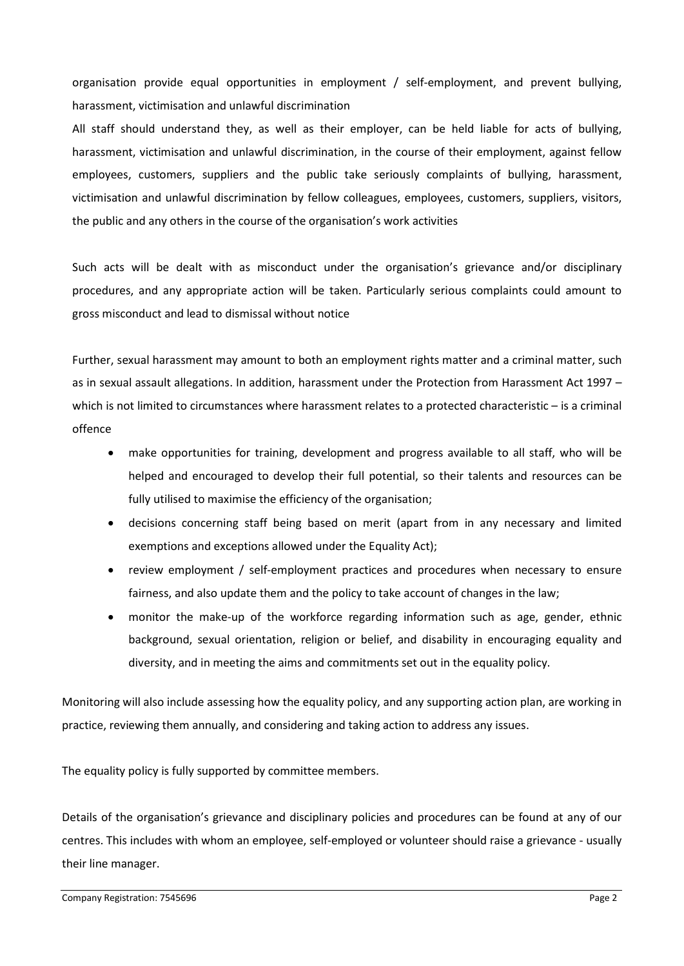organisation provide equal opportunities in employment / self-employment, and prevent bullying, harassment, victimisation and unlawful discrimination

All staff should understand they, as well as their employer, can be held liable for acts of bullying, harassment, victimisation and unlawful discrimination, in the course of their employment, against fellow employees, customers, suppliers and the public take seriously complaints of bullying, harassment, victimisation and unlawful discrimination by fellow colleagues, employees, customers, suppliers, visitors, the public and any others in the course of the organisation's work activities

Such acts will be dealt with as misconduct under the organisation's grievance and/or disciplinary procedures, and any appropriate action will be taken. Particularly serious complaints could amount to gross misconduct and lead to dismissal without notice

Further, sexual harassment may amount to both an employment rights matter and a criminal matter, such as in sexual assault allegations. In addition, harassment under the Protection from Harassment Act 1997 – which is not limited to circumstances where harassment relates to a protected characteristic – is a criminal offence

- make opportunities for training, development and progress available to all staff, who will be helped and encouraged to develop their full potential, so their talents and resources can be fully utilised to maximise the efficiency of the organisation;
- decisions concerning staff being based on merit (apart from in any necessary and limited exemptions and exceptions allowed under the Equality Act);
- review employment / self-employment practices and procedures when necessary to ensure fairness, and also update them and the policy to take account of changes in the law;
- monitor the make-up of the workforce regarding information such as age, gender, ethnic background, sexual orientation, religion or belief, and disability in encouraging equality and diversity, and in meeting the aims and commitments set out in the equality policy.

Monitoring will also include assessing how the equality policy, and any supporting action plan, are working in practice, reviewing them annually, and considering and taking action to address any issues.

The equality policy is fully supported by committee members.

Details of the organisation's grievance and disciplinary policies and procedures can be found at any of our centres. This includes with whom an employee, self-employed or volunteer should raise a grievance - usually their line manager.